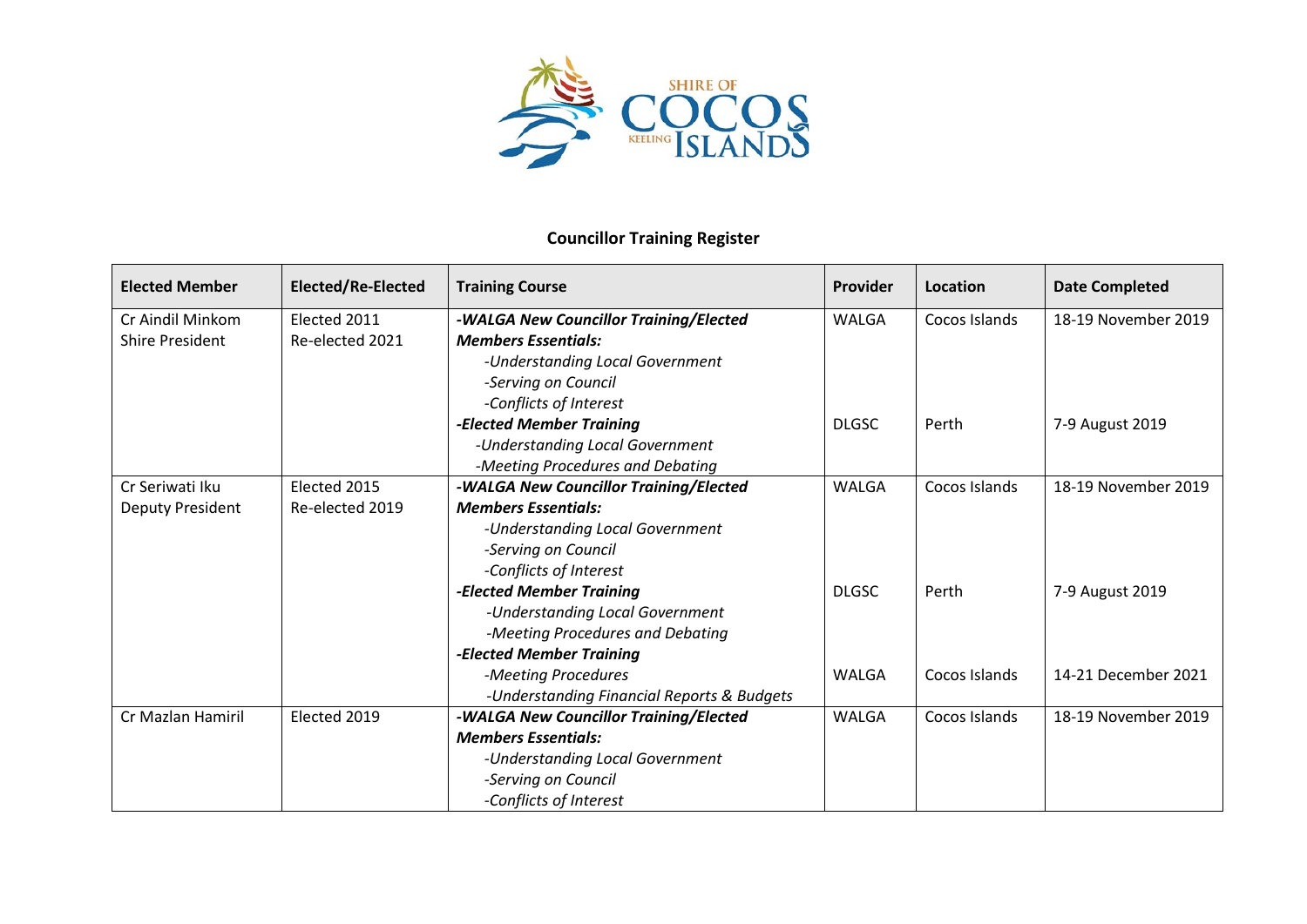

## **Councillor Training Register**

| <b>Elected Member</b>  | Elected/Re-Elected | <b>Training Course</b>                     | Provider     | Location      | <b>Date Completed</b> |
|------------------------|--------------------|--------------------------------------------|--------------|---------------|-----------------------|
| Cr Aindil Minkom       | Elected 2011       | -WALGA New Councillor Training/Elected     | WALGA        | Cocos Islands | 18-19 November 2019   |
| <b>Shire President</b> | Re-elected 2021    | <b>Members Essentials:</b>                 |              |               |                       |
|                        |                    | -Understanding Local Government            |              |               |                       |
|                        |                    | -Serving on Council                        |              |               |                       |
|                        |                    | -Conflicts of Interest                     |              |               |                       |
|                        |                    | -Elected Member Training                   | <b>DLGSC</b> | Perth         | 7-9 August 2019       |
|                        |                    | -Understanding Local Government            |              |               |                       |
|                        |                    | -Meeting Procedures and Debating           |              |               |                       |
| Cr Seriwati Iku        | Elected 2015       | -WALGA New Councillor Training/Elected     | <b>WALGA</b> | Cocos Islands | 18-19 November 2019   |
| Deputy President       | Re-elected 2019    | <b>Members Essentials:</b>                 |              |               |                       |
|                        |                    | -Understanding Local Government            |              |               |                       |
|                        |                    | -Serving on Council                        |              |               |                       |
|                        |                    | -Conflicts of Interest                     |              |               |                       |
|                        |                    | -Elected Member Training                   | <b>DLGSC</b> | Perth         | 7-9 August 2019       |
|                        |                    | -Understanding Local Government            |              |               |                       |
|                        |                    | -Meeting Procedures and Debating           |              |               |                       |
|                        |                    | -Elected Member Training                   |              |               |                       |
|                        |                    | -Meeting Procedures                        | <b>WALGA</b> | Cocos Islands | 14-21 December 2021   |
|                        |                    | -Understanding Financial Reports & Budgets |              |               |                       |
| Cr Mazlan Hamiril      | Elected 2019       | -WALGA New Councillor Training/Elected     | <b>WALGA</b> | Cocos Islands | 18-19 November 2019   |
|                        |                    | <b>Members Essentials:</b>                 |              |               |                       |
|                        |                    | -Understanding Local Government            |              |               |                       |
|                        |                    | -Serving on Council                        |              |               |                       |
|                        |                    | -Conflicts of Interest                     |              |               |                       |